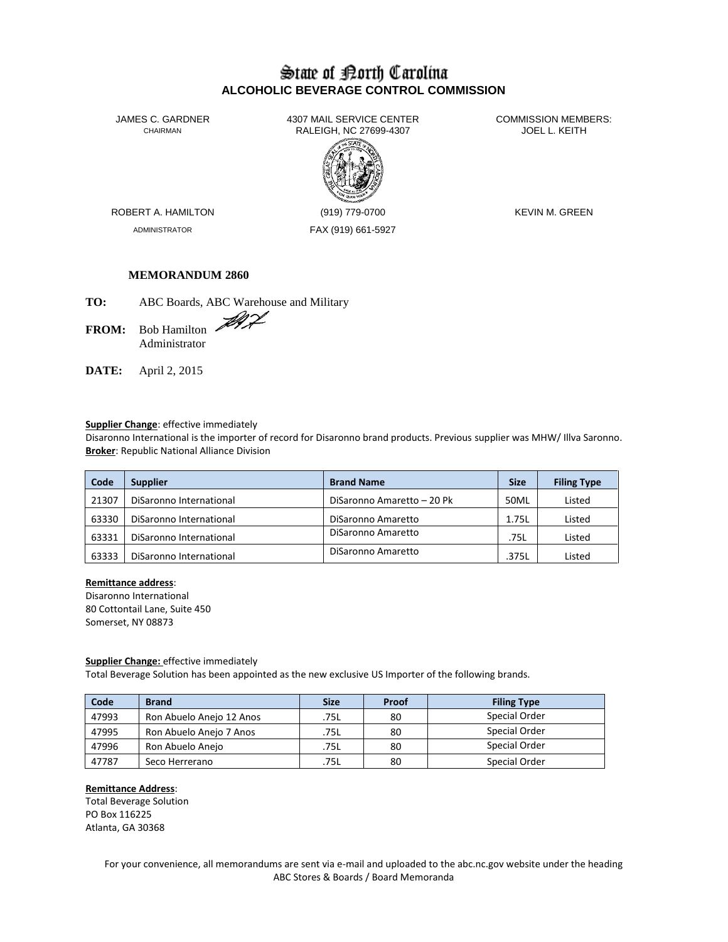# State of Borth Carolina **ALCOHOLIC BEVERAGE CONTROL COMMISSION**

JAMES C. GARDNER 4307 MAIL SERVICE CENTER<br>CHAIRMAN CHAIRMAN RALEIGH, NC 27699-4307 RALEIGH, NC 27699-4307



ADMINISTRATOR FAX (919) 661-5927

ROBERT A. HAMILTON (919) 779-0700 KEVIN M. GREEN

# **MEMORANDUM 2860**

**TO:** ABC Boards, ABC Warehouse and Military

FROM: Bob Hamilton Administrator

**DATE:** April 2, 2015

# **Supplier Change**: effective immediately

Disaronno International is the importer of record for Disaronno brand products. Previous supplier was MHW/ Illva Saronno. **Broker**: Republic National Alliance Division

| Code  | <b>Supplier</b>         | <b>Brand Name</b>          | <b>Size</b> | <b>Filing Type</b> |
|-------|-------------------------|----------------------------|-------------|--------------------|
| 21307 | DiSaronno International | DiSaronno Amaretto - 20 Pk | 50ML        | Listed             |
| 63330 | DiSaronno International | DiSaronno Amaretto         | 1.75L       | Listed             |
| 63331 | DiSaronno International | DiSaronno Amaretto         | .75L        | Listed             |
| 63333 | DiSaronno International | DiSaronno Amaretto         | .375L       | Listed             |

# **Remittance address**:

Disaronno International 80 Cottontail Lane, Suite 450 Somerset, NY 08873

# **Supplier Change:** effective immediately

Total Beverage Solution has been appointed as the new exclusive US Importer of the following brands.

| Code  | <b>Brand</b>             | <b>Size</b> | Proof | <b>Filing Type</b> |
|-------|--------------------------|-------------|-------|--------------------|
| 47993 | Ron Abuelo Anejo 12 Anos | .75L        | 80    | Special Order      |
| 47995 | Ron Abuelo Anejo 7 Anos  | .75L        | 80    | Special Order      |
| 47996 | Ron Abuelo Anejo         | .75L        | 80    | Special Order      |
| 47787 | Seco Herrerano           | .75L        | 80    | Special Order      |

## **Remittance Address**:

Total Beverage Solution PO Box 116225 Atlanta, GA 30368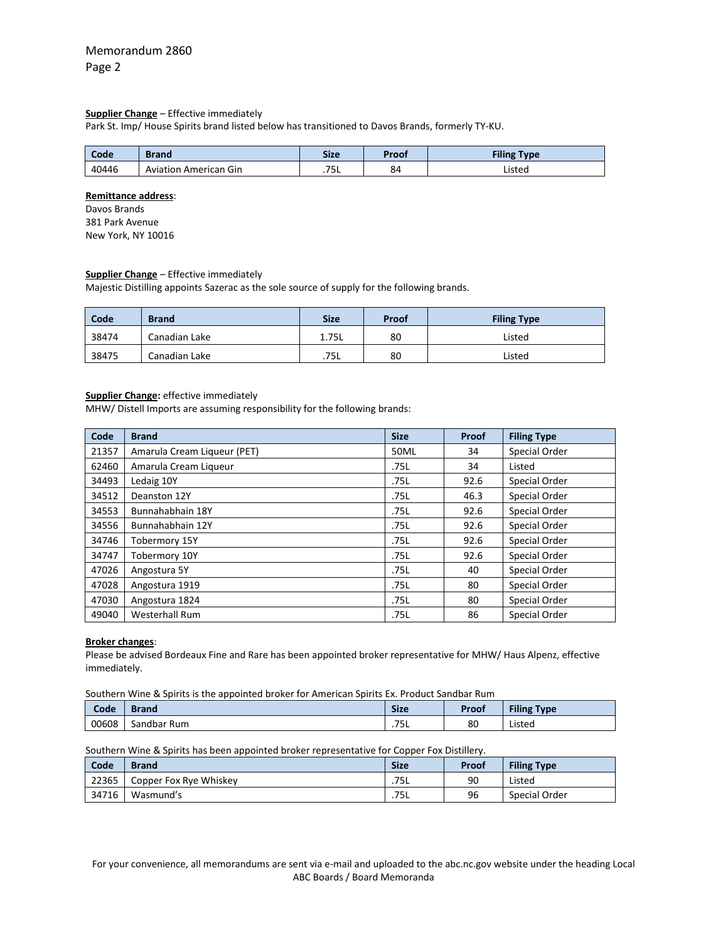## **Supplier Change** – Effective immediately

Park St. Imp/ House Spirits brand listed below has transitioned to Davos Brands, formerly TY-KU.

| l Code | Brand                 | <b>Size</b>      | Proof | <b>Filing Type</b> |
|--------|-----------------------|------------------|-------|--------------------|
| 40446  | Aviation American Gin | ᅲ<br><u>ار .</u> | 84    | Listed             |

### **Remittance address**:

Davos Brands 381 Park Avenue New York, NY 10016

# **Supplier Change** – Effective immediately

Majestic Distilling appoints Sazerac as the sole source of supply for the following brands.

| Code  | <b>Brand</b>  | <b>Size</b> | Proof | <b>Filing Type</b> |
|-------|---------------|-------------|-------|--------------------|
| 38474 | Canadian Lake | 1.75L       | 80    | Listed             |
| 38475 | Canadian Lake | .75L        | 80    | Listed             |

# **Supplier Change:** effective immediately

MHW/ Distell Imports are assuming responsibility for the following brands:

| Code  | <b>Brand</b>                | <b>Size</b> | Proof | <b>Filing Type</b> |
|-------|-----------------------------|-------------|-------|--------------------|
| 21357 | Amarula Cream Liqueur (PET) | 50ML        | 34    | Special Order      |
| 62460 | Amarula Cream Liqueur       | .75L        | 34    | Listed             |
| 34493 | Ledaig 10Y                  | .75L        | 92.6  | Special Order      |
| 34512 | Deanston 12Y                | .75L        | 46.3  | Special Order      |
| 34553 | Bunnahabhain 18Y            | .75L        | 92.6  | Special Order      |
| 34556 | Bunnahabhain 12Y            | .75L        | 92.6  | Special Order      |
| 34746 | Tobermory 15Y               | .75L        | 92.6  | Special Order      |
| 34747 | <b>Tobermory 10Y</b>        | .75L        | 92.6  | Special Order      |
| 47026 | Angostura 5Y                | .75L        | 40    | Special Order      |
| 47028 | Angostura 1919              | .75L        | 80    | Special Order      |
| 47030 | Angostura 1824              | .75L        | 80    | Special Order      |
| 49040 | <b>Westerhall Rum</b>       | .75L        | 86    | Special Order      |

# **Broker changes**:

Please be advised Bordeaux Fine and Rare has been appointed broker representative for MHW/ Haus Alpenz, effective immediately.

Southern Wine & Spirits is the appointed broker for American Spirits Ex. Product Sandbar Rum

| Code  | <b>Brand</b> | <b>Size</b> | Proof | <b>Filing Type</b> |
|-------|--------------|-------------|-------|--------------------|
| 00608 | Sandbar Rum  | .75L        | 80    | Listed             |

#### Southern Wine & Spirits has been appointed broker representative for Copper Fox Distillery.

| Code  | <b>Brand</b>           | <b>Size</b> | Proof | <b>Filing Type</b> |
|-------|------------------------|-------------|-------|--------------------|
| 22365 | Copper Fox Rye Whiskey | .75L        | 90    | Listed             |
| 34716 | Wasmund's              | .75L        | 96    | Special Order      |

For your convenience, all memorandums are sent via e-mail and uploaded to the abc.nc.gov website under the heading Local ABC Boards / Board Memoranda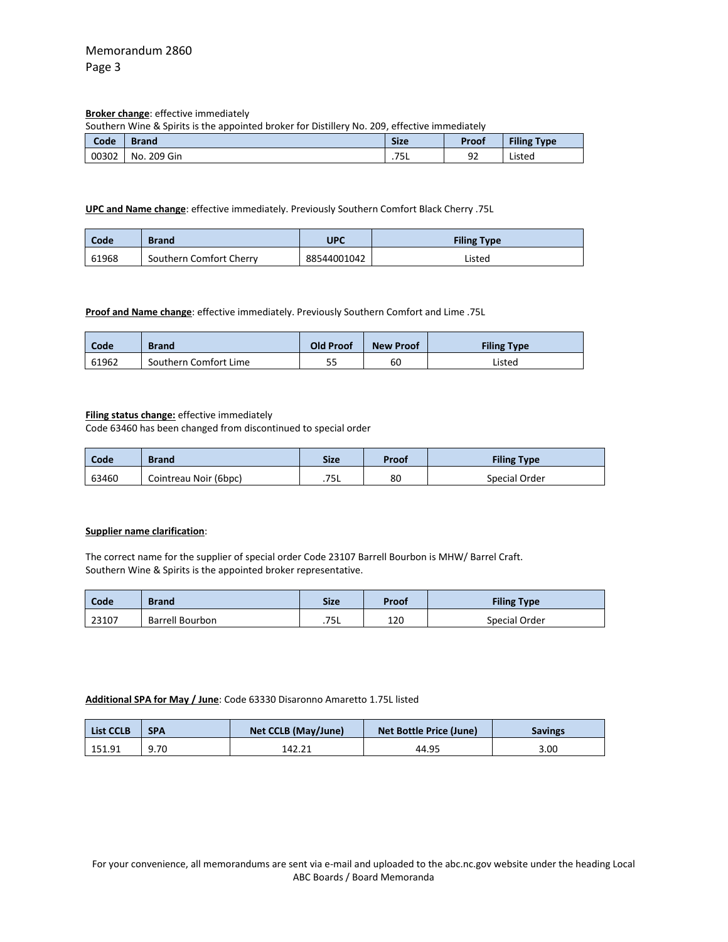# **Broker change**: effective immediately

Southern Wine & Spirits is the appointed broker for Distillery No. 209, effective immediately

| Code  | Brand          | <b>Size</b> | Proof | <b>Filing Type</b> |
|-------|----------------|-------------|-------|--------------------|
| 00302 | 209 Gin<br>No. | .75L        | 92    | Listed             |

# **UPC and Name change**: effective immediately. Previously Southern Comfort Black Cherry .75L

| Code  | <b>Brand</b>            | <b>UPC</b>  | <b>Filing Type</b> |
|-------|-------------------------|-------------|--------------------|
| 61968 | Southern Comfort Cherry | 88544001042 | Listed             |

# **Proof and Name change**: effective immediately. Previously Southern Comfort and Lime .75L

| Code  | <b>Brand</b>          | <b>Old Proof</b> | <b>New Proof</b> | <b>Filing Type</b> |
|-------|-----------------------|------------------|------------------|--------------------|
| 61962 | Southern Comfort Lime | --<br>ככ         | 60               | Listed             |

# **Filing status change:** effective immediately

Code 63460 has been changed from discontinued to special order

| Code  | <b>Brand</b>          | <b>Size</b> | Proof | <b>Filing Type</b> |
|-------|-----------------------|-------------|-------|--------------------|
| 63460 | Cointreau Noir (6bpc) | .75L        | 80    | Special Order      |

# **Supplier name clarification**:

The correct name for the supplier of special order Code 23107 Barrell Bourbon is MHW/ Barrel Craft. Southern Wine & Spirits is the appointed broker representative.

| Code  | <b>Brand</b>    | <b>Size</b> | Proof | <b>Filing Type</b> |
|-------|-----------------|-------------|-------|--------------------|
| 23107 | Barrell Bourbon | .75L        | 120   | Special Order      |

## **Additional SPA for May / June**: Code 63330 Disaronno Amaretto 1.75L listed

| List CCLB | <b>SPA</b> | Net CCLB (May/June) | <b>Net Bottle Price (June)</b> | <b>Savings</b> |
|-----------|------------|---------------------|--------------------------------|----------------|
| 151.91    | 9.70       | 142.21              | 44.95                          | 3.00           |